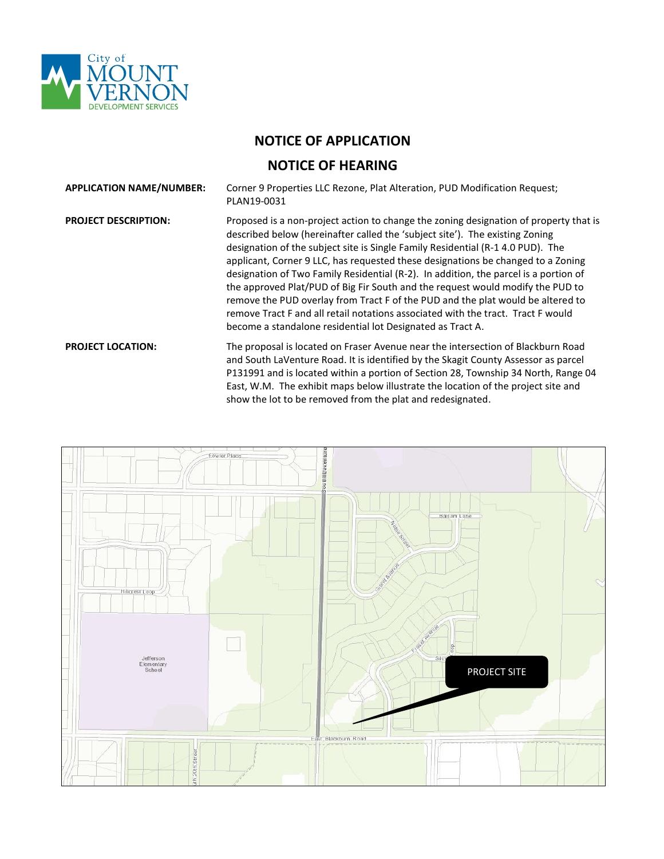

## **NOTICE OF APPLICATION**

## **NOTICE OF HEARING**

| <b>APPLICATION NAME/NUMBER:</b> | Corner 9 Properties LLC Rezone, Plat Alteration, PUD Modification Request;<br>PLAN19-0031                                                                                                                                                                                                                                                                                                                                                                                                                                                                                                                                                                                                                                                                   |
|---------------------------------|-------------------------------------------------------------------------------------------------------------------------------------------------------------------------------------------------------------------------------------------------------------------------------------------------------------------------------------------------------------------------------------------------------------------------------------------------------------------------------------------------------------------------------------------------------------------------------------------------------------------------------------------------------------------------------------------------------------------------------------------------------------|
| <b>PROJECT DESCRIPTION:</b>     | Proposed is a non-project action to change the zoning designation of property that is<br>described below (hereinafter called the 'subject site'). The existing Zoning<br>designation of the subject site is Single Family Residential (R-1 4.0 PUD). The<br>applicant, Corner 9 LLC, has requested these designations be changed to a Zoning<br>designation of Two Family Residential (R-2). In addition, the parcel is a portion of<br>the approved Plat/PUD of Big Fir South and the request would modify the PUD to<br>remove the PUD overlay from Tract F of the PUD and the plat would be altered to<br>remove Tract F and all retail notations associated with the tract. Tract F would<br>become a standalone residential lot Designated as Tract A. |
| <b>PROJECT LOCATION:</b>        | The proposal is located on Fraser Avenue near the intersection of Blackburn Road<br>and South LaVenture Road. It is identified by the Skagit County Assessor as parcel<br>P131991 and is located within a portion of Section 28, Township 34 North, Range 04<br>East, W.M. The exhibit maps below illustrate the location of the project site and<br>show the lot to be removed from the plat and redesignated.                                                                                                                                                                                                                                                                                                                                             |